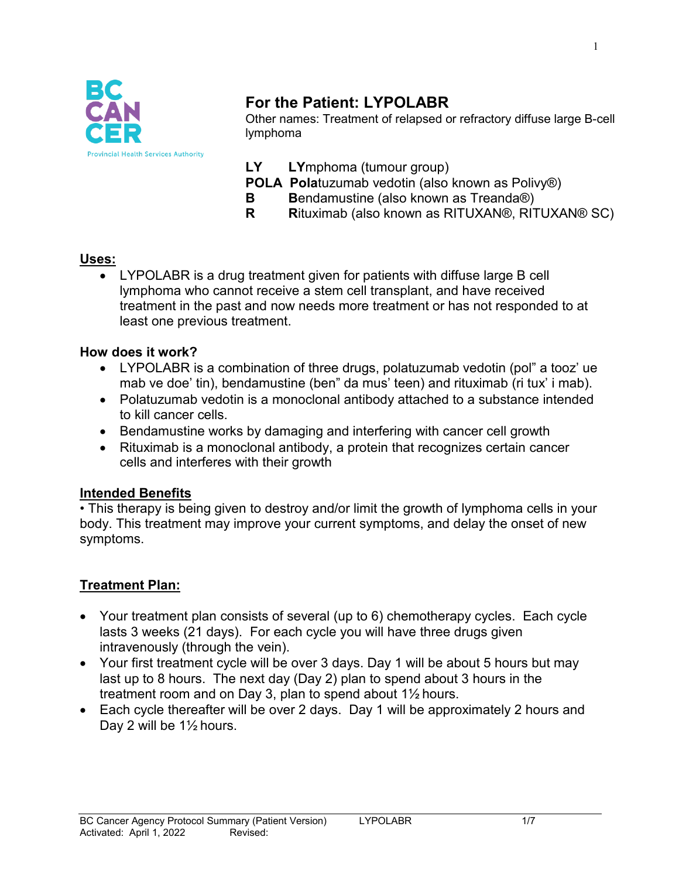

# **For the Patient: LYPOLABR**

Other names: Treatment of relapsed or refractory diffuse large B-cell lymphoma

- **LY LY**mphoma (tumour group)
- **POLA Pola**tuzumab vedotin (also known as Polivy®)
- **B** Bendamustine (also known as Treanda®)
- **R R**ituximab (also known as RITUXAN®, RITUXAN® SC)

#### **Uses:**

• LYPOLABR is a drug treatment given for patients with diffuse large B cell lymphoma who cannot receive a stem cell transplant, and have received treatment in the past and now needs more treatment or has not responded to at least one previous treatment.

#### **How does it work?**

- LYPOLABR is a combination of three drugs, polatuzumab vedotin (pol" a tooz' ue mab ve doe' tin), bendamustine (ben" da mus' teen) and rituximab (ri tux' i mab).
- Polatuzumab vedotin is a monoclonal antibody attached to a substance intended to kill cancer cells.
- Bendamustine works by damaging and interfering with cancer cell growth
- Rituximab is a monoclonal antibody, a protein that recognizes certain cancer cells and interferes with their growth

#### **Intended Benefits**

• This therapy is being given to destroy and/or limit the growth of lymphoma cells in your body. This treatment may improve your current symptoms, and delay the onset of new symptoms.

#### **Treatment Plan:**

- Your treatment plan consists of several (up to 6) chemotherapy cycles. Each cycle lasts 3 weeks (21 days). For each cycle you will have three drugs given intravenously (through the vein).
- Your first treatment cycle will be over 3 days. Day 1 will be about 5 hours but may last up to 8 hours. The next day (Day 2) plan to spend about 3 hours in the treatment room and on Day 3, plan to spend about 1½ hours.
- Each cycle thereafter will be over 2 days. Day 1 will be approximately 2 hours and Day 2 will be 1½ hours.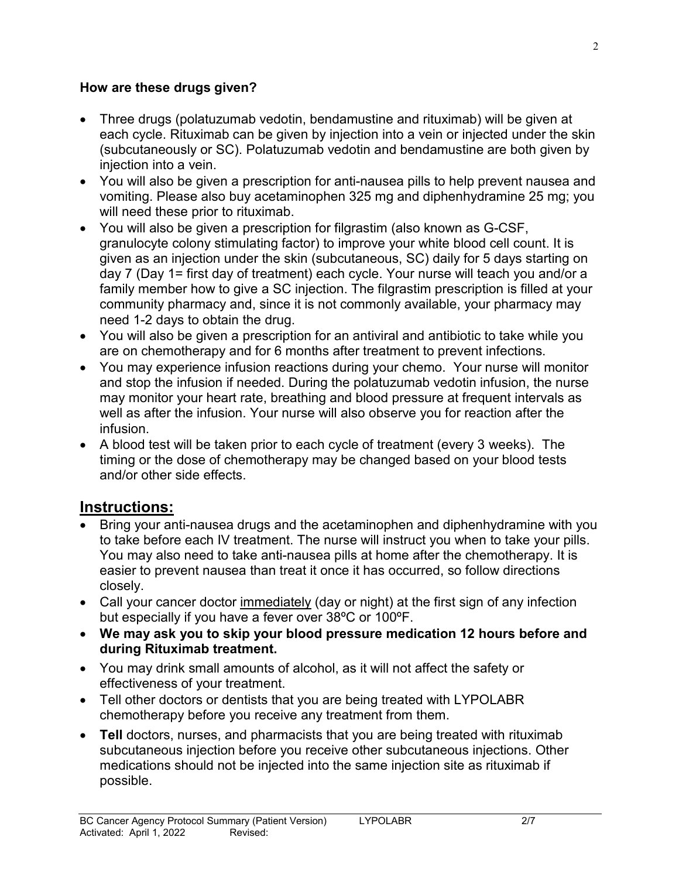#### **How are these drugs given?**

- Three drugs (polatuzumab vedotin, bendamustine and rituximab) will be given at each cycle. Rituximab can be given by injection into a vein or injected under the skin (subcutaneously or SC). Polatuzumab vedotin and bendamustine are both given by injection into a vein.
- You will also be given a prescription for anti-nausea pills to help prevent nausea and vomiting. Please also buy acetaminophen 325 mg and diphenhydramine 25 mg; you will need these prior to rituximab.
- You will also be given a prescription for filgrastim (also known as G-CSF, granulocyte colony stimulating factor) to improve your white blood cell count. It is given as an injection under the skin (subcutaneous, SC) daily for 5 days starting on day 7 (Day 1= first day of treatment) each cycle. Your nurse will teach you and/or a family member how to give a SC injection. The filgrastim prescription is filled at your community pharmacy and, since it is not commonly available, your pharmacy may need 1-2 days to obtain the drug.
- You will also be given a prescription for an antiviral and antibiotic to take while you are on chemotherapy and for 6 months after treatment to prevent infections.
- You may experience infusion reactions during your chemo. Your nurse will monitor and stop the infusion if needed. During the polatuzumab vedotin infusion, the nurse may monitor your heart rate, breathing and blood pressure at frequent intervals as well as after the infusion. Your nurse will also observe you for reaction after the infusion.
- A blood test will be taken prior to each cycle of treatment (every 3 weeks). The timing or the dose of chemotherapy may be changed based on your blood tests and/or other side effects.

### **Instructions:**

- Bring your anti-nausea drugs and the acetaminophen and diphenhydramine with you to take before each IV treatment. The nurse will instruct you when to take your pills. You may also need to take anti-nausea pills at home after the chemotherapy. It is easier to prevent nausea than treat it once it has occurred, so follow directions closely.
- Call your cancer doctor immediately (day or night) at the first sign of any infection but especially if you have a fever over 38ºC or 100ºF.
- **We may ask you to skip your blood pressure medication 12 hours before and during Rituximab treatment.**
- You may drink small amounts of alcohol, as it will not affect the safety or effectiveness of your treatment.
- Tell other doctors or dentists that you are being treated with LYPOLABR chemotherapy before you receive any treatment from them.
- **Tell** doctors, nurses, and pharmacists that you are being treated with rituximab subcutaneous injection before you receive other subcutaneous injections. Other medications should not be injected into the same injection site as rituximab if possible.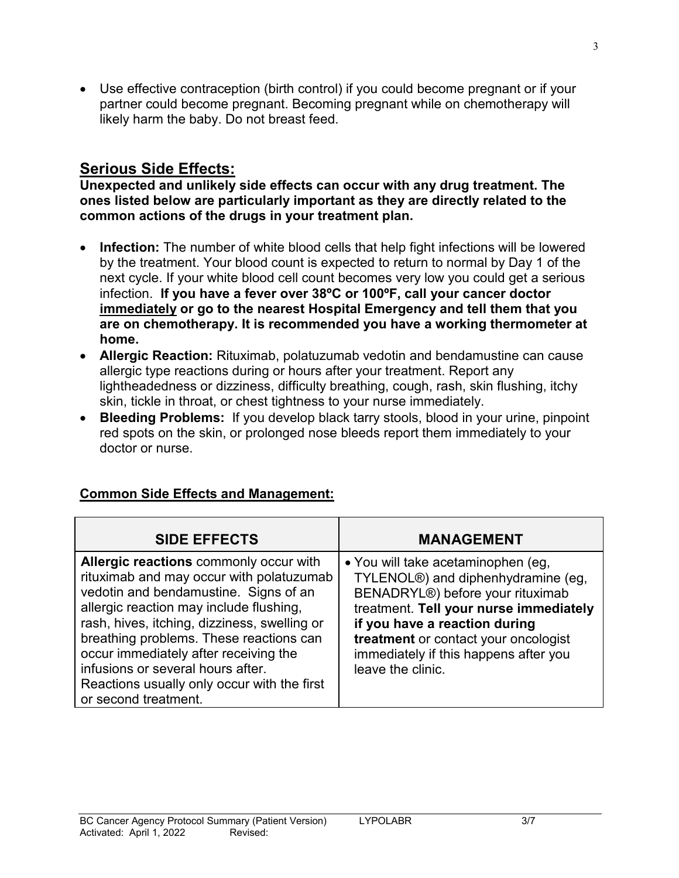• Use effective contraception (birth control) if you could become pregnant or if your partner could become pregnant. Becoming pregnant while on chemotherapy will likely harm the baby. Do not breast feed.

## **Serious Side Effects:**

**Unexpected and unlikely side effects can occur with any drug treatment. The ones listed below are particularly important as they are directly related to the common actions of the drugs in your treatment plan.**

- **Infection:** The number of white blood cells that help fight infections will be lowered by the treatment. Your blood count is expected to return to normal by Day 1 of the next cycle. If your white blood cell count becomes very low you could get a serious infection. **If you have a fever over 38ºC or 100ºF, call your cancer doctor immediately or go to the nearest Hospital Emergency and tell them that you are on chemotherapy. It is recommended you have a working thermometer at home.**
- **Allergic Reaction:** Rituximab, polatuzumab vedotin and bendamustine can cause allergic type reactions during or hours after your treatment. Report any lightheadedness or dizziness, difficulty breathing, cough, rash, skin flushing, itchy skin, tickle in throat, or chest tightness to your nurse immediately.
- **Bleeding Problems:** If you develop black tarry stools, blood in your urine, pinpoint red spots on the skin, or prolonged nose bleeds report them immediately to your doctor or nurse.

| <b>SIDE EFFECTS</b>                                                                                                                                                                                                                                                                                                                                                                                                    | <b>MANAGEMENT</b>                                                                                                                                                                                                                                                                                          |
|------------------------------------------------------------------------------------------------------------------------------------------------------------------------------------------------------------------------------------------------------------------------------------------------------------------------------------------------------------------------------------------------------------------------|------------------------------------------------------------------------------------------------------------------------------------------------------------------------------------------------------------------------------------------------------------------------------------------------------------|
| Allergic reactions commonly occur with<br>rituximab and may occur with polatuzumab<br>vedotin and bendamustine. Signs of an<br>allergic reaction may include flushing,<br>rash, hives, itching, dizziness, swelling or<br>breathing problems. These reactions can<br>occur immediately after receiving the<br>infusions or several hours after.<br>Reactions usually only occur with the first<br>or second treatment. | • You will take acetaminophen (eg,<br>TYLENOL <sup>®</sup> ) and diphenhydramine (eg,<br>BENADRYL®) before your rituximab<br>treatment. Tell your nurse immediately<br>if you have a reaction during<br>treatment or contact your oncologist<br>immediately if this happens after you<br>leave the clinic. |

### **Common Side Effects and Management:**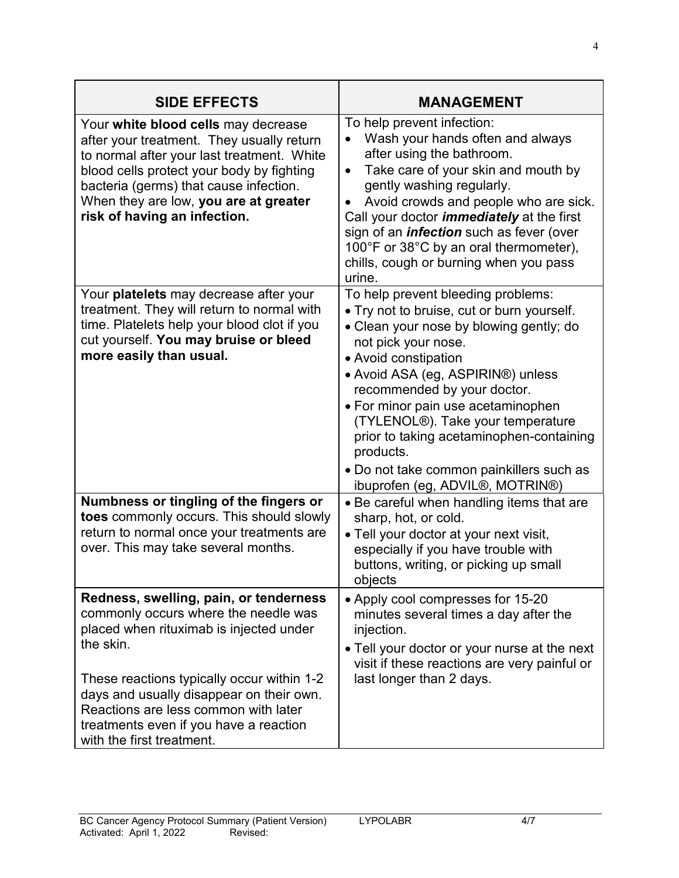| <b>SIDE EFFECTS</b>                                                                                                                                                                                                                                                                                                                             | <b>MANAGEMENT</b>                                                                                                                                                                                                                                                                                                                                                                                                                                                 |
|-------------------------------------------------------------------------------------------------------------------------------------------------------------------------------------------------------------------------------------------------------------------------------------------------------------------------------------------------|-------------------------------------------------------------------------------------------------------------------------------------------------------------------------------------------------------------------------------------------------------------------------------------------------------------------------------------------------------------------------------------------------------------------------------------------------------------------|
| Your white blood cells may decrease<br>after your treatment. They usually return<br>to normal after your last treatment. White<br>blood cells protect your body by fighting<br>bacteria (germs) that cause infection.<br>When they are low, you are at greater<br>risk of having an infection.                                                  | To help prevent infection:<br>Wash your hands often and always<br>after using the bathroom.<br>Take care of your skin and mouth by<br>$\bullet$<br>gently washing regularly.<br>Avoid crowds and people who are sick.<br>Call your doctor <i>immediately</i> at the first<br>sign of an <i>infection</i> such as fever (over<br>100°F or 38°C by an oral thermometer),<br>chills, cough or burning when you pass<br>urine.                                        |
| Your platelets may decrease after your<br>treatment. They will return to normal with<br>time. Platelets help your blood clot if you<br>cut yourself. You may bruise or bleed<br>more easily than usual.                                                                                                                                         | To help prevent bleeding problems:<br>• Try not to bruise, cut or burn yourself.<br>• Clean your nose by blowing gently; do<br>not pick your nose.<br>• Avoid constipation<br>• Avoid ASA (eg, ASPIRIN®) unless<br>recommended by your doctor.<br>• For minor pain use acetaminophen<br>(TYLENOL®). Take your temperature<br>prior to taking acetaminophen-containing<br>products.<br>• Do not take common painkillers such as<br>ibuprofen (eg, ADVIL®, MOTRIN®) |
| Numbness or tingling of the fingers or<br>toes commonly occurs. This should slowly<br>return to normal once your treatments are<br>over. This may take several months.                                                                                                                                                                          | • Be careful when handling items that are<br>sharp, hot, or cold.<br>• Tell your doctor at your next visit,<br>especially if you have trouble with<br>buttons, writing, or picking up small<br>objects                                                                                                                                                                                                                                                            |
| Redness, swelling, pain, or tenderness<br>commonly occurs where the needle was<br>placed when rituximab is injected under<br>the skin.<br>These reactions typically occur within 1-2<br>days and usually disappear on their own.<br>Reactions are less common with later<br>treatments even if you have a reaction<br>with the first treatment. | • Apply cool compresses for 15-20<br>minutes several times a day after the<br>injection.<br>. Tell your doctor or your nurse at the next<br>visit if these reactions are very painful or<br>last longer than 2 days.                                                                                                                                                                                                                                              |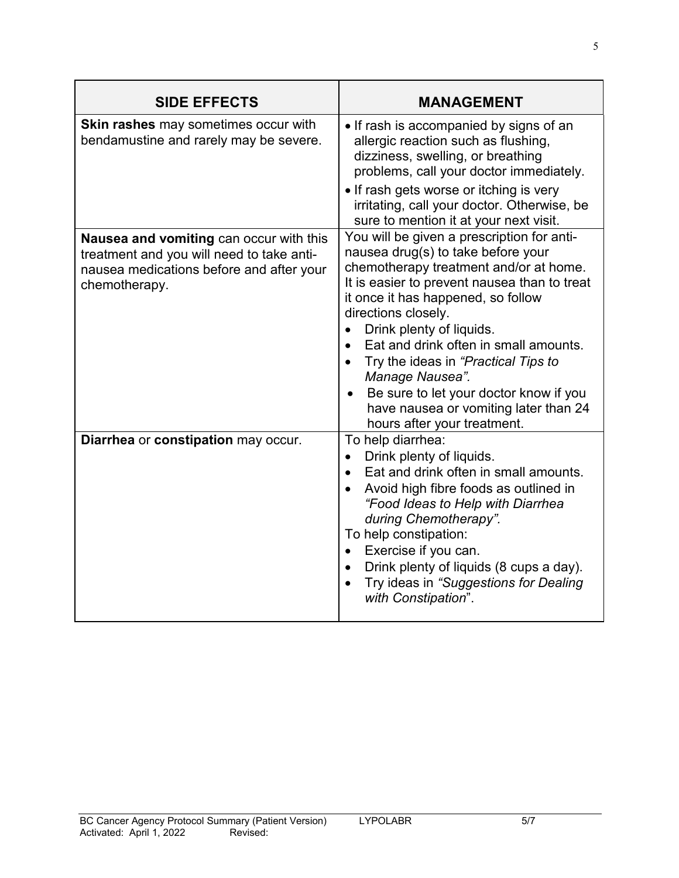| <b>SIDE EFFECTS</b>                                                                                                                               | <b>MANAGEMENT</b>                                                                                                                                                                                                                                                                                                                                                                                                                                                                        |
|---------------------------------------------------------------------------------------------------------------------------------------------------|------------------------------------------------------------------------------------------------------------------------------------------------------------------------------------------------------------------------------------------------------------------------------------------------------------------------------------------------------------------------------------------------------------------------------------------------------------------------------------------|
| <b>Skin rashes</b> may sometimes occur with<br>bendamustine and rarely may be severe.                                                             | • If rash is accompanied by signs of an<br>allergic reaction such as flushing,<br>dizziness, swelling, or breathing<br>problems, call your doctor immediately.<br>• If rash gets worse or itching is very                                                                                                                                                                                                                                                                                |
|                                                                                                                                                   | irritating, call your doctor. Otherwise, be<br>sure to mention it at your next visit.                                                                                                                                                                                                                                                                                                                                                                                                    |
| Nausea and vomiting can occur with this<br>treatment and you will need to take anti-<br>nausea medications before and after your<br>chemotherapy. | You will be given a prescription for anti-<br>nausea drug(s) to take before your<br>chemotherapy treatment and/or at home.<br>It is easier to prevent nausea than to treat<br>it once it has happened, so follow<br>directions closely.<br>Drink plenty of liquids.<br>Eat and drink often in small amounts.<br>Try the ideas in "Practical Tips to<br>Manage Nausea".<br>Be sure to let your doctor know if you<br>have nausea or vomiting later than 24<br>hours after your treatment. |
| Diarrhea or constipation may occur.                                                                                                               | To help diarrhea:<br>Drink plenty of liquids.<br>$\bullet$<br>Eat and drink often in small amounts.<br>Avoid high fibre foods as outlined in<br>"Food Ideas to Help with Diarrhea<br>during Chemotherapy".<br>To help constipation:<br>Exercise if you can.<br>$\bullet$<br>Drink plenty of liquids (8 cups a day).<br>$\bullet$<br>Try ideas in "Suggestions for Dealing<br>$\bullet$<br>with Constipation".                                                                            |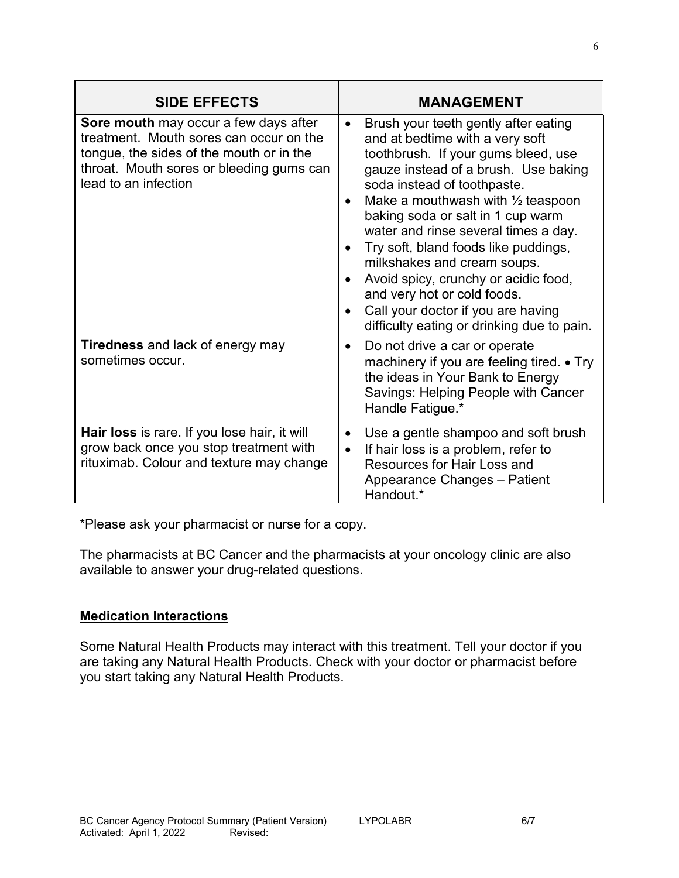| <b>SIDE EFFECTS</b>                                                                                                                                                                                     | <b>MANAGEMENT</b>                                                                                                                                                                                                                                                                                                                                                                                                                                                                                                                                                                                        |
|---------------------------------------------------------------------------------------------------------------------------------------------------------------------------------------------------------|----------------------------------------------------------------------------------------------------------------------------------------------------------------------------------------------------------------------------------------------------------------------------------------------------------------------------------------------------------------------------------------------------------------------------------------------------------------------------------------------------------------------------------------------------------------------------------------------------------|
| <b>Sore mouth</b> may occur a few days after<br>treatment. Mouth sores can occur on the<br>tongue, the sides of the mouth or in the<br>throat. Mouth sores or bleeding gums can<br>lead to an infection | Brush your teeth gently after eating<br>$\bullet$<br>and at bedtime with a very soft<br>toothbrush. If your gums bleed, use<br>gauze instead of a brush. Use baking<br>soda instead of toothpaste.<br>Make a mouthwash with $\frac{1}{2}$ teaspoon<br>$\bullet$<br>baking soda or salt in 1 cup warm<br>water and rinse several times a day.<br>Try soft, bland foods like puddings,<br>milkshakes and cream soups.<br>Avoid spicy, crunchy or acidic food,<br>$\bullet$<br>and very hot or cold foods.<br>Call your doctor if you are having<br>$\bullet$<br>difficulty eating or drinking due to pain. |
| <b>Tiredness</b> and lack of energy may<br>sometimes occur.                                                                                                                                             | Do not drive a car or operate<br>$\bullet$<br>machinery if you are feeling tired. • Try<br>the ideas in Your Bank to Energy<br>Savings: Helping People with Cancer<br>Handle Fatigue.*                                                                                                                                                                                                                                                                                                                                                                                                                   |
| Hair loss is rare. If you lose hair, it will<br>grow back once you stop treatment with<br>rituximab. Colour and texture may change                                                                      | Use a gentle shampoo and soft brush<br>$\bullet$<br>If hair loss is a problem, refer to<br>$\bullet$<br>Resources for Hair Loss and<br>Appearance Changes - Patient<br>Handout.*                                                                                                                                                                                                                                                                                                                                                                                                                         |

\*Please ask your pharmacist or nurse for a copy.

The pharmacists at BC Cancer and the pharmacists at your oncology clinic are also available to answer your drug-related questions.

#### **Medication Interactions**

Some Natural Health Products may interact with this treatment. Tell your doctor if you are taking any Natural Health Products. Check with your doctor or pharmacist before you start taking any Natural Health Products.